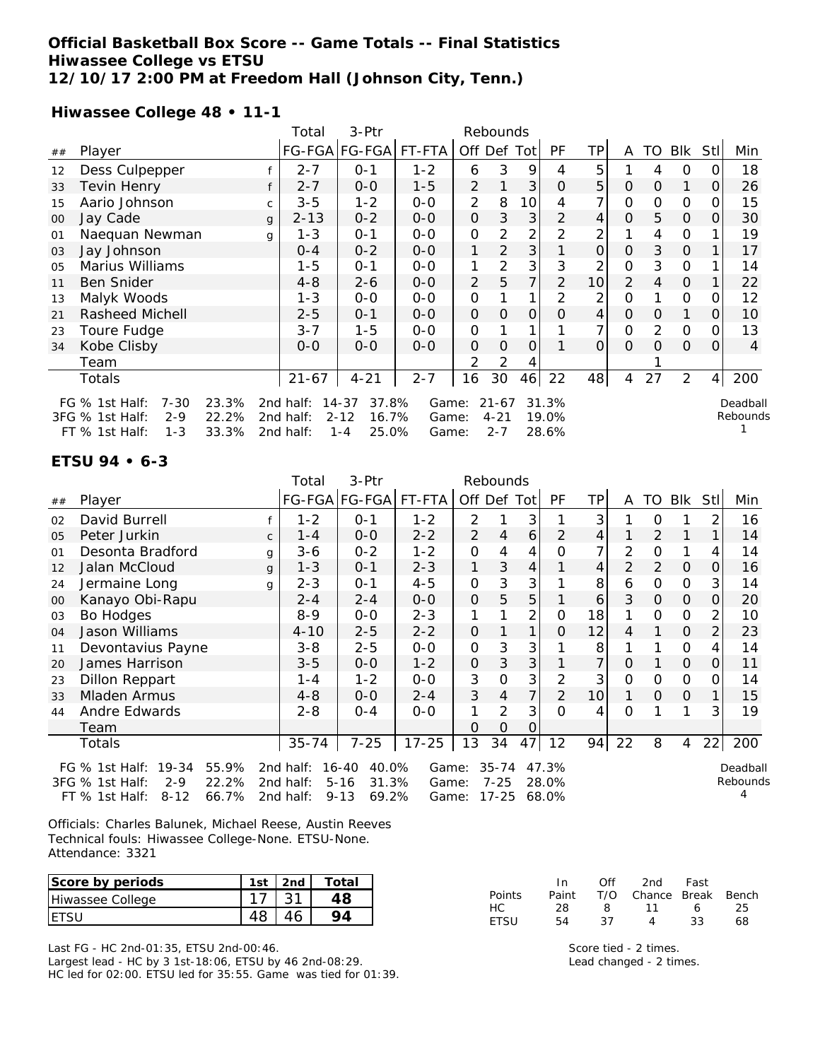#### **Official Basketball Box Score -- Game Totals -- Final Statistics Hiwassee College vs ETSU 12/10/17 2:00 PM at Freedom Hall (Johnson City, Tenn.)**

**Hiwassee College 48 • 11-1**

|        |                            |              | 3-Ptr<br>Rebounds<br>Total |                      |         |                |                |                |          |          |          |          |                |                |                |
|--------|----------------------------|--------------|----------------------------|----------------------|---------|----------------|----------------|----------------|----------|----------|----------|----------|----------------|----------------|----------------|
| ##     | Player                     |              |                            | FG-FGA FG-FGA FT-FTA |         |                | Off Def Tot    |                | PF       | TP       | A        | TO       | Blk            | Stl            | Min            |
| 12     | Dess Culpepper             |              | $2 - 7$                    | $O - 1$              | $1 - 2$ | 6              | 3              | 9              | 4        | 5        |          | 4        | $\circ$        | Ο              | 18             |
| 33     | Tevin Henry                | f            | $2 - 7$                    | $O-O$                | $1 - 5$ | $\overline{2}$ |                | 3              | $\Omega$ | 5        | $\Omega$ | 0        | 1              | 0              | 26             |
| 15     | Aario Johnson              | C            | $3 - 5$                    | $1 - 2$              | $0 - 0$ | 2              | 8              | 10             | 4        | 7        | $\Omega$ | 0        | $\mathbf 0$    | Ο              | 15             |
| $00\,$ | Jay Cade                   | $\mathbf{q}$ | $2 - 13$                   | $0 - 2$              | $0-0$   | O              | 3              | 3              | 2        | 4        | $\Omega$ | 5        | $\overline{0}$ | O              | 30             |
| 01     | Naequan Newman             | g            | $1 - 3$                    | $O - 1$              | $0 - 0$ | O              | 2              | 2              | 2        | 2        |          | 4        | 0              |                | 19             |
| 03     | Jay Johnson                |              | $0 - 4$                    | $0 - 2$              | $0 - 0$ | 1              | $\overline{2}$ | 3              |          | 0        | 0        | 3        | $\mathcal{O}$  |                | 17             |
| 05     | Marius Williams            |              | 1-5                        | $O - 1$              | $O - O$ |                | 2              | 3              | 3        | 2        | 0        | 3        | $\mathbf 0$    |                | 14             |
| 11     | <b>Ben Snider</b>          |              | $4 - 8$                    | $2 - 6$              | $0 - 0$ | $\overline{2}$ | 5              | 7 <sup>1</sup> | 2        | 10       | 2        | 4        | $\overline{0}$ |                | 22             |
| 13     | Malyk Woods                |              | $1 - 3$                    | $0 - 0$              | $0 - 0$ | 0              |                | 1 <sub>1</sub> | 2        | 2        | $\Omega$ |          | 0              |                | 12             |
| 21     | Rasheed Michell            |              | $2 - 5$                    | $0 - 1$              | $O - O$ | $\Omega$       | O              | $\mathbf{O}$   | Ο        | 4        | $\Omega$ | $\Omega$ | 1              | Ο              | 10             |
| 23     | Toure Fudge                |              | $3 - 7$                    | $1 - 5$              | $O - O$ | 0              |                |                |          | 7        | $\Omega$ | 2        | $\mathbf 0$    |                | 13             |
| 34     | Kobe Clisby                |              | $0 - 0$                    | $0 - 0$              | $O - O$ | $\Omega$       | O              | $\Omega$       |          | $\Omega$ | $\Omega$ | $\Omega$ | $\Omega$       | O              | $\overline{4}$ |
|        | Team                       |              |                            |                      |         | 2              | 2              | 4              |          |          |          |          |                |                |                |
|        | Totals                     |              | $21 - 67$                  | $4 - 21$             | $2 - 7$ | 16             | 30             | 46             | 22       | 48       | 4        | 27       | $\overline{2}$ | $\overline{4}$ | 200            |
|        | $7 - 30$<br>FG % 1st Half: | 23.3%        | 2nd half:                  | $14 - 37$<br>37.8%   | Game:   |                | $21 - 67$      |                | 31.3%    |          |          |          |                |                | Deadball       |
|        | 3FG % 1st Half:<br>$2 - 9$ | 22.2%        | 2nd half:                  | $2 - 12$<br>16.7%    | Game:   |                | $4 - 21$       |                | 19.0%    |          |          |          |                |                | Rebounds       |
|        | FT % 1st Half:<br>$1 - 3$  | 33.3%        | 2nd half:                  | 25.0%<br>$1 - 4$     | Game:   |                | $2 - 7$        |                | 28.6%    |          |          |          |                |                |                |

#### **ETSU 94 • 6-3**

| Blk<br>Stl<br>Min         |
|---------------------------|
| 2<br>16                   |
| 14                        |
| 4<br>14                   |
| $\mathbf{O}$<br>16        |
| 3<br>14                   |
| $\mathsf{O}\xspace$<br>20 |
| 2<br>10                   |
| 2<br>23                   |
| 4<br>14                   |
| $\mathbf{O}$<br>11        |
| $\Omega$<br>14            |
| 1<br>15                   |
| 3<br>19                   |
|                           |
| 200<br>22                 |
| Deadball<br>Rebound:      |
|                           |

FT % 1st Half: 8-12 66.7% 2nd half: 9-13 69.2% Game: 17-25 68.0%

Deadball ıds 4

Officials: Charles Balunek, Michael Reese, Austin Reeves Technical fouls: Hiwassee College-None. ETSU-None. Attendance: 3321

| Score by periods | 1st | 2 <sub>nd</sub> | Total |
|------------------|-----|-----------------|-------|
| Hiwassee College |     |                 |       |
|                  |     |                 |       |

Last FG - HC 2nd-01:35, ETSU 2nd-00:46. Largest lead - HC by 3 1st-18:06, ETSU by 46 2nd-08:29. HC led for 02:00. ETSU led for 35:55. Game was tied for 01:39.

|               | In.   | Off | 2nd                    | Fast |    |
|---------------|-------|-----|------------------------|------|----|
| <b>Points</b> | Paint |     | T/O Chance Break Bench |      |    |
| HC.           | 28.   | - 8 | 11                     | 6    | 25 |
| <b>FTSU</b>   | 54.   | -37 | 4                      | -33  | 68 |

Score tied - 2 times. Lead changed - 2 times.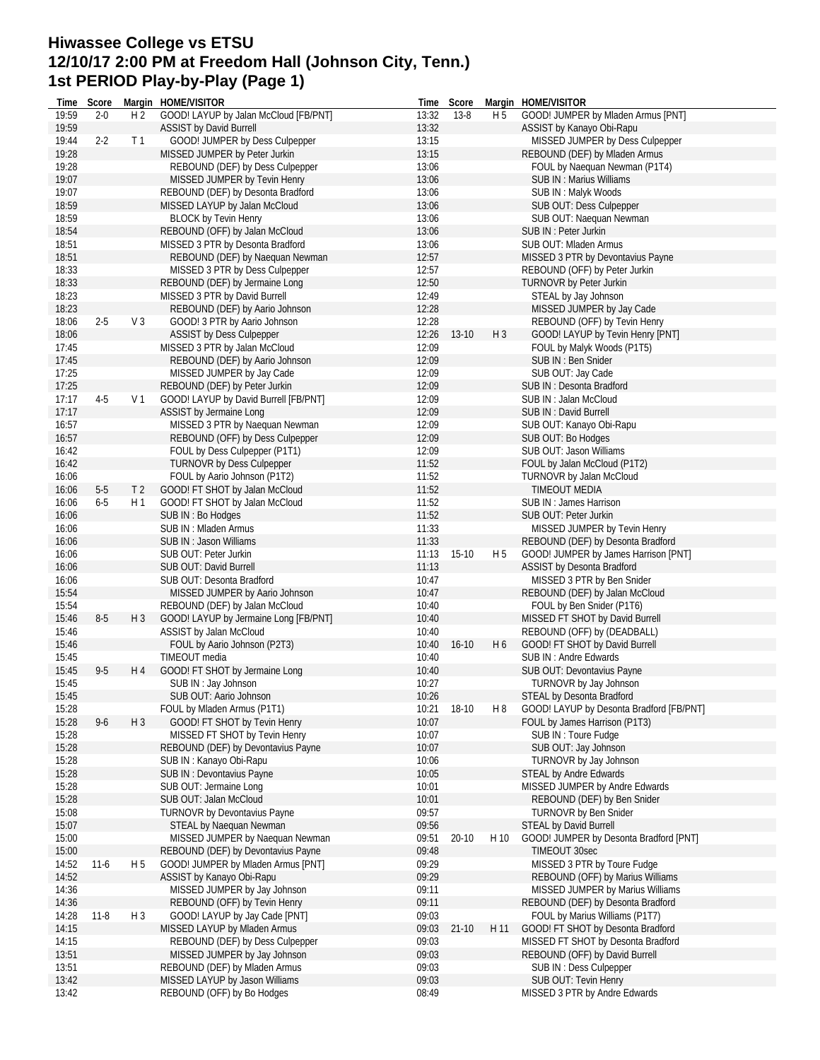#### **Hiwassee College vs ETSU 12/10/17 2:00 PM at Freedom Hall (Johnson City, Tenn.) 1st PERIOD Play-by-Play (Page 1)**

|       | Time Score |                | Margin HOME/VISITOR                   |                | Time Score  |                | Margin HOME/VISITOR                      |
|-------|------------|----------------|---------------------------------------|----------------|-------------|----------------|------------------------------------------|
| 19:59 | $2 - 0$    | H <sub>2</sub> | GOOD! LAYUP by Jalan McCloud [FB/PNT] | 13:32          | 13-8        | H <sub>5</sub> | GOOD! JUMPER by Mladen Armus [PNT]       |
| 19:59 |            |                | <b>ASSIST by David Burrell</b>        | 13:32          |             |                | ASSIST by Kanayo Obi-Rapu                |
| 19:44 | $2 - 2$    | T <sub>1</sub> | GOOD! JUMPER by Dess Culpepper        | 13:15          |             |                | MISSED JUMPER by Dess Culpepper          |
| 19:28 |            |                | MISSED JUMPER by Peter Jurkin         | 13:15          |             |                | REBOUND (DEF) by Mladen Armus            |
| 19:28 |            |                | REBOUND (DEF) by Dess Culpepper       | 13:06          |             |                | FOUL by Naequan Newman (P1T4)            |
| 19:07 |            |                | MISSED JUMPER by Tevin Henry          | 13:06          |             |                | <b>SUB IN: Marius Williams</b>           |
| 19:07 |            |                | REBOUND (DEF) by Desonta Bradford     | 13:06          |             |                | SUB IN: Malyk Woods                      |
| 18:59 |            |                | MISSED LAYUP by Jalan McCloud         | 13:06          |             |                | SUB OUT: Dess Culpepper                  |
| 18:59 |            |                | <b>BLOCK by Tevin Henry</b>           | 13:06          |             |                | SUB OUT: Naequan Newman                  |
| 18:54 |            |                | REBOUND (OFF) by Jalan McCloud        | 13:06          |             |                | SUB IN: Peter Jurkin                     |
| 18:51 |            |                | MISSED 3 PTR by Desonta Bradford      | 13:06          |             |                | SUB OUT: Mladen Armus                    |
| 18:51 |            |                | REBOUND (DEF) by Naequan Newman       | 12:57          |             |                | MISSED 3 PTR by Devontavius Payne        |
| 18:33 |            |                | MISSED 3 PTR by Dess Culpepper        | 12:57          |             |                | REBOUND (OFF) by Peter Jurkin            |
| 18:33 |            |                | REBOUND (DEF) by Jermaine Long        | 12:50          |             |                | <b>TURNOVR by Peter Jurkin</b>           |
|       |            |                |                                       |                |             |                |                                          |
| 18:23 |            |                | MISSED 3 PTR by David Burrell         | 12:49          |             |                | STEAL by Jay Johnson                     |
| 18:23 |            |                | REBOUND (DEF) by Aario Johnson        | 12:28          |             |                | MISSED JUMPER by Jay Cade                |
| 18:06 | $2 - 5$    | V <sub>3</sub> | GOOD! 3 PTR by Aario Johnson          | 12:28          |             |                | REBOUND (OFF) by Tevin Henry             |
| 18:06 |            |                | <b>ASSIST by Dess Culpepper</b>       | 12:26          | $13-10$     | H <sub>3</sub> | GOOD! LAYUP by Tevin Henry [PNT]         |
| 17:45 |            |                | MISSED 3 PTR by Jalan McCloud         | 12:09          |             |                | FOUL by Malyk Woods (P1T5)               |
| 17:45 |            |                | REBOUND (DEF) by Aario Johnson        | 12:09          |             |                | SUB IN: Ben Snider                       |
| 17:25 |            |                | MISSED JUMPER by Jay Cade             | 12:09          |             |                | SUB OUT: Jay Cade                        |
| 17:25 |            |                | REBOUND (DEF) by Peter Jurkin         | 12:09          |             |                | SUB IN: Desonta Bradford                 |
| 17:17 | $4-5$      | V <sub>1</sub> | GOOD! LAYUP by David Burrell [FB/PNT] | 12:09          |             |                | SUB IN: Jalan McCloud                    |
| 17:17 |            |                | ASSIST by Jermaine Long               | 12:09          |             |                | SUB IN : David Burrell                   |
| 16:57 |            |                | MISSED 3 PTR by Naequan Newman        | 12:09          |             |                | SUB OUT: Kanayo Obi-Rapu                 |
| 16:57 |            |                | REBOUND (OFF) by Dess Culpepper       | 12:09          |             |                | SUB OUT: Bo Hodges                       |
| 16:42 |            |                | FOUL by Dess Culpepper (P1T1)         | 12:09          |             |                | SUB OUT: Jason Williams                  |
| 16:42 |            |                | <b>TURNOVR by Dess Culpepper</b>      | 11:52          |             |                | FOUL by Jalan McCloud (P1T2)             |
| 16:06 |            |                | FOUL by Aario Johnson (P1T2)          | 11:52          |             |                | <b>TURNOVR by Jalan McCloud</b>          |
| 16:06 | $5-5$      | T <sub>2</sub> | GOOD! FT SHOT by Jalan McCloud        | 11:52          |             |                | <b>TIMEOUT MEDIA</b>                     |
| 16:06 | $6-5$      | H 1            | GOOD! FT SHOT by Jalan McCloud        | 11:52          |             |                | SUB IN : James Harrison                  |
| 16:06 |            |                | SUB IN: Bo Hodges                     | 11:52          |             |                | SUB OUT: Peter Jurkin                    |
| 16:06 |            |                | SUB IN: Mladen Armus                  | 11:33          |             |                | MISSED JUMPER by Tevin Henry             |
| 16:06 |            |                | SUB IN: Jason Williams                | 11:33          |             |                | REBOUND (DEF) by Desonta Bradford        |
| 16:06 |            |                | SUB OUT: Peter Jurkin                 |                | $15-10$     | H <sub>5</sub> |                                          |
|       |            |                |                                       | 11:13<br>11:13 |             |                | GOOD! JUMPER by James Harrison [PNT]     |
| 16:06 |            |                | SUB OUT: David Burrell                |                |             |                | ASSIST by Desonta Bradford               |
| 16:06 |            |                | SUB OUT: Desonta Bradford             | 10:47          |             |                | MISSED 3 PTR by Ben Snider               |
| 15:54 |            |                | MISSED JUMPER by Aario Johnson        | 10:47          |             |                | REBOUND (DEF) by Jalan McCloud           |
| 15:54 |            |                | REBOUND (DEF) by Jalan McCloud        | 10:40          |             |                | FOUL by Ben Snider (P1T6)                |
| 15:46 | $8-5$      | $H_3$          | GOOD! LAYUP by Jermaine Long [FB/PNT] | 10:40          |             |                | MISSED FT SHOT by David Burrell          |
| 15:46 |            |                | ASSIST by Jalan McCloud               | 10:40          |             |                | REBOUND (OFF) by (DEADBALL)              |
| 15:46 |            |                | FOUL by Aario Johnson (P2T3)          | 10:40          | $16 - 10$   | H <sub>6</sub> | GOOD! FT SHOT by David Burrell           |
| 15:45 |            |                | TIMEOUT media                         | 10:40          |             |                | SUB IN : Andre Edwards                   |
| 15:45 | $9 - 5$    | H 4            | GOOD! FT SHOT by Jermaine Long        | 10:40          |             |                | SUB OUT: Devontavius Payne               |
| 15:45 |            |                | SUB IN: Jay Johnson                   | 10:27          |             |                | TURNOVR by Jay Johnson                   |
| 15:45 |            |                | SUB OUT: Aario Johnson                | 10:26          |             |                | STEAL by Desonta Bradford                |
| 15:28 |            |                | FOUL by Mladen Armus (P1T1)           |                | 10:21 18-10 | H <sub>8</sub> | GOOD! LAYUP by Desonta Bradford [FB/PNT] |
| 15:28 | $9 - 6$    | $H_3$          | GOOD! FT SHOT by Tevin Henry          | 10:07          |             |                | FOUL by James Harrison (P1T3)            |
| 15:28 |            |                | MISSED FT SHOT by Tevin Henry         | 10:07          |             |                | SUB IN : Toure Fudge                     |
| 15:28 |            |                | REBOUND (DEF) by Devontavius Payne    | 10:07          |             |                | SUB OUT: Jay Johnson                     |
| 15:28 |            |                | SUB IN: Kanayo Obi-Rapu               | 10:06          |             |                | TURNOVR by Jay Johnson                   |
| 15:28 |            |                | SUB IN: Devontavius Payne             | 10:05          |             |                | <b>STEAL by Andre Edwards</b>            |
| 15:28 |            |                | SUB OUT: Jermaine Long                | 10:01          |             |                | MISSED JUMPER by Andre Edwards           |
| 15:28 |            |                | SUB OUT: Jalan McCloud                | 10:01          |             |                | REBOUND (DEF) by Ben Snider              |
| 15:08 |            |                | TURNOVR by Devontavius Payne          | 09:57          |             |                | <b>TURNOVR by Ben Snider</b>             |
| 15:07 |            |                | STEAL by Naequan Newman               | 09:56          |             |                | STEAL by David Burrell                   |
| 15:00 |            |                | MISSED JUMPER by Naequan Newman       | 09:51          | $20 - 10$   | H 10           | GOOD! JUMPER by Desonta Bradford [PNT]   |
| 15:00 |            |                | REBOUND (DEF) by Devontavius Payne    | 09:48          |             |                | TIMEOUT 30sec                            |
| 14:52 | $11-6$     | H <sub>5</sub> | GOOD! JUMPER by Mladen Armus [PNT]    | 09:29          |             |                | MISSED 3 PTR by Toure Fudge              |
| 14:52 |            |                | ASSIST by Kanayo Obi-Rapu             | 09:29          |             |                | REBOUND (OFF) by Marius Williams         |
| 14:36 |            |                | MISSED JUMPER by Jay Johnson          | 09:11          |             |                | MISSED JUMPER by Marius Williams         |
| 14:36 |            |                |                                       | 09:11          |             |                |                                          |
|       |            |                | REBOUND (OFF) by Tevin Henry          |                |             |                | REBOUND (DEF) by Desonta Bradford        |
| 14:28 | $11 - 8$   | $H_3$          | GOOD! LAYUP by Jay Cade [PNT]         | 09:03          |             |                | FOUL by Marius Williams (P1T7)           |
| 14:15 |            |                | MISSED LAYUP by Mladen Armus          | 09:03          | $21 - 10$   | H 11           | GOOD! FT SHOT by Desonta Bradford        |
| 14:15 |            |                | REBOUND (DEF) by Dess Culpepper       | 09:03          |             |                | MISSED FT SHOT by Desonta Bradford       |
| 13:51 |            |                | MISSED JUMPER by Jay Johnson          | 09:03          |             |                | REBOUND (OFF) by David Burrell           |
| 13:51 |            |                | REBOUND (DEF) by Mladen Armus         | 09:03          |             |                | SUB IN : Dess Culpepper                  |
| 13:42 |            |                | MISSED LAYUP by Jason Williams        | 09:03          |             |                | SUB OUT: Tevin Henry                     |
| 13:42 |            |                | REBOUND (OFF) by Bo Hodges            | 08:49          |             |                | MISSED 3 PTR by Andre Edwards            |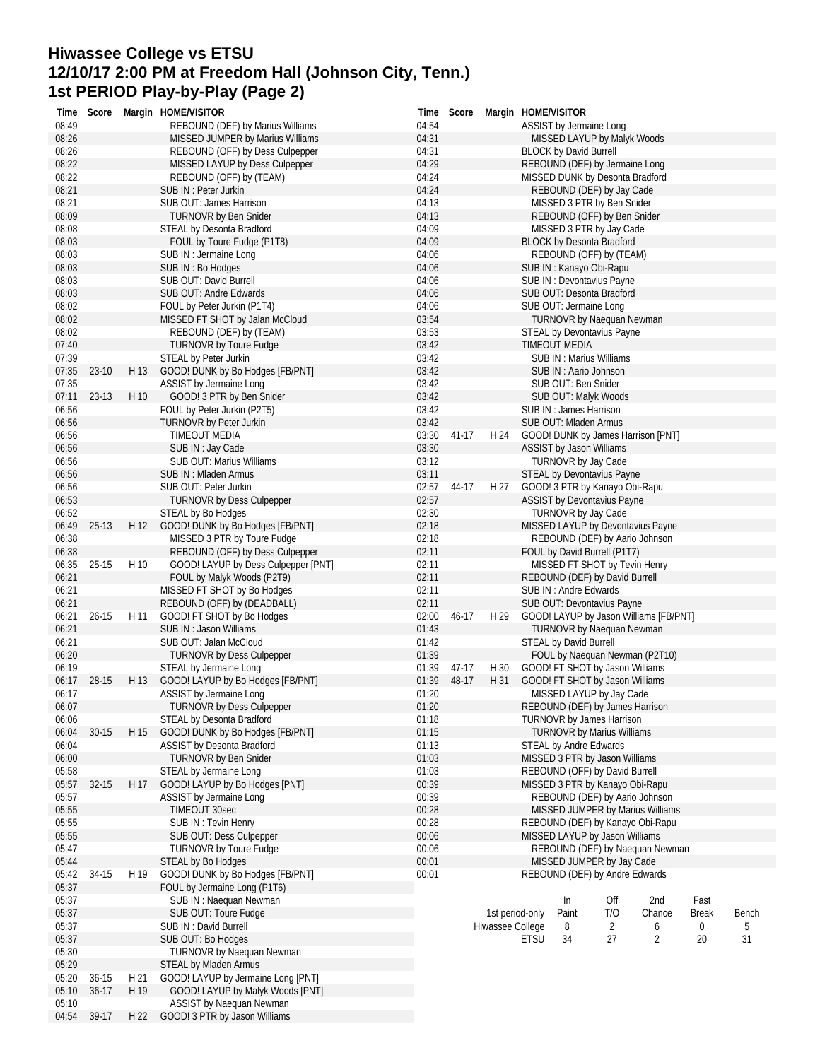### **Hiwassee College vs ETSU 12/10/17 2:00 PM at Freedom Hall (Johnson City, Tenn.) 1st PERIOD Play-by-Play (Page 2)**

|                | Time Score  |      | Margin HOME/VISITOR                                           |                | Time Score |                  |             | Margin HOME/VISITOR                                                 |     |                                        |              |       |
|----------------|-------------|------|---------------------------------------------------------------|----------------|------------|------------------|-------------|---------------------------------------------------------------------|-----|----------------------------------------|--------------|-------|
| 08:49          |             |      | REBOUND (DEF) by Marius Williams                              | 04:54          |            |                  |             | ASSIST by Jermaine Long                                             |     |                                        |              |       |
| 08:26          |             |      | MISSED JUMPER by Marius Williams                              | 04:31          |            |                  |             | MISSED LAYUP by Malyk Woods                                         |     |                                        |              |       |
| 08:26          |             |      | REBOUND (OFF) by Dess Culpepper                               | 04:31          |            |                  |             | <b>BLOCK by David Burrell</b>                                       |     |                                        |              |       |
| 08:22          |             |      | MISSED LAYUP by Dess Culpepper                                | 04:29          |            |                  |             | REBOUND (DEF) by Jermaine Long                                      |     |                                        |              |       |
| 08:22          |             |      | REBOUND (OFF) by (TEAM)                                       | 04:24          |            |                  |             | MISSED DUNK by Desonta Bradford                                     |     |                                        |              |       |
| 08:21          |             |      | SUB IN : Peter Jurkin                                         | 04:24          |            |                  |             | REBOUND (DEF) by Jay Cade                                           |     |                                        |              |       |
| 08:21          |             |      | SUB OUT: James Harrison                                       | 04:13          |            |                  |             | MISSED 3 PTR by Ben Snider                                          |     |                                        |              |       |
| 08:09          |             |      | <b>TURNOVR by Ben Snider</b>                                  | 04:13          |            |                  |             | REBOUND (OFF) by Ben Snider                                         |     |                                        |              |       |
| 08:08          |             |      | STEAL by Desonta Bradford                                     | 04:09          |            |                  |             | MISSED 3 PTR by Jay Cade                                            |     |                                        |              |       |
| 08:03          |             |      | FOUL by Toure Fudge (P1T8)                                    | 04:09          |            |                  |             | <b>BLOCK by Desonta Bradford</b>                                    |     |                                        |              |       |
| 08:03          |             |      | SUB IN : Jermaine Long                                        | 04:06          |            |                  |             | REBOUND (OFF) by (TEAM)                                             |     |                                        |              |       |
| 08:03          |             |      | SUB IN: Bo Hodges                                             | 04:06          |            |                  |             | SUB IN: Kanayo Obi-Rapu                                             |     |                                        |              |       |
| 08:03<br>08:03 |             |      | SUB OUT: David Burrell<br>SUB OUT: Andre Edwards              | 04:06          |            |                  |             | SUB IN: Devontavius Payne<br>SUB OUT: Desonta Bradford              |     |                                        |              |       |
| 08:02          |             |      | FOUL by Peter Jurkin (P1T4)                                   | 04:06<br>04:06 |            |                  |             | SUB OUT: Jermaine Long                                              |     |                                        |              |       |
| 08:02          |             |      | MISSED FT SHOT by Jalan McCloud                               | 03:54          |            |                  |             | <b>TURNOVR by Naequan Newman</b>                                    |     |                                        |              |       |
| 08:02          |             |      | REBOUND (DEF) by (TEAM)                                       | 03:53          |            |                  |             | STEAL by Devontavius Payne                                          |     |                                        |              |       |
| 07:40          |             |      | TURNOVR by Toure Fudge                                        | 03:42          |            |                  |             | <b>TIMEOUT MEDIA</b>                                                |     |                                        |              |       |
| 07:39          |             |      | STEAL by Peter Jurkin                                         | 03:42          |            |                  |             | <b>SUB IN: Marius Williams</b>                                      |     |                                        |              |       |
| 07:35          | $23-10$     | H 13 | GOOD! DUNK by Bo Hodges [FB/PNT]                              | 03:42          |            |                  |             | SUB IN: Aario Johnson                                               |     |                                        |              |       |
| 07:35          |             |      | ASSIST by Jermaine Long                                       | 03:42          |            |                  |             | SUB OUT: Ben Snider                                                 |     |                                        |              |       |
|                | 07:11 23-13 | H 10 | GOOD! 3 PTR by Ben Snider                                     | 03:42          |            |                  |             | SUB OUT: Malyk Woods                                                |     |                                        |              |       |
| 06:56          |             |      | FOUL by Peter Jurkin (P2T5)                                   | 03:42          |            |                  |             | SUB IN: James Harrison                                              |     |                                        |              |       |
| 06:56          |             |      | <b>TURNOVR by Peter Jurkin</b>                                | 03:42          |            |                  |             | SUB OUT: Mladen Armus                                               |     |                                        |              |       |
| 06:56          |             |      | <b>TIMEOUT MEDIA</b>                                          | 03:30          | 41-17      | H 24             |             |                                                                     |     | GOOD! DUNK by James Harrison [PNT]     |              |       |
| 06:56          |             |      | SUB IN: Jay Cade                                              | 03:30          |            |                  |             | ASSIST by Jason Williams                                            |     |                                        |              |       |
| 06:56          |             |      | SUB OUT: Marius Williams                                      | 03:12          |            |                  |             | TURNOVR by Jay Cade                                                 |     |                                        |              |       |
| 06:56          |             |      | SUB IN: Mladen Armus                                          | 03:11          |            |                  |             | STEAL by Devontavius Payne                                          |     |                                        |              |       |
| 06:56          |             |      | SUB OUT: Peter Jurkin                                         | 02:57          | 44-17      | H 27             |             | GOOD! 3 PTR by Kanayo Obi-Rapu                                      |     |                                        |              |       |
| 06:53          |             |      | <b>TURNOVR by Dess Culpepper</b>                              | 02:57          |            |                  |             | ASSIST by Devontavius Payne                                         |     |                                        |              |       |
| 06:52          |             |      | STEAL by Bo Hodges                                            | 02:30          |            |                  |             | TURNOVR by Jay Cade                                                 |     |                                        |              |       |
| 06:49          | $25-13$     | H 12 | GOOD! DUNK by Bo Hodges [FB/PNT]                              | 02:18          |            |                  |             |                                                                     |     | MISSED LAYUP by Devontavius Payne      |              |       |
| 06:38          |             |      | MISSED 3 PTR by Toure Fudge                                   | 02:18          |            |                  |             | REBOUND (DEF) by Aario Johnson                                      |     |                                        |              |       |
| 06:38          |             |      | REBOUND (OFF) by Dess Culpepper                               | 02:11          |            |                  |             | FOUL by David Burrell (P1T7)                                        |     |                                        |              |       |
| 06:35          | $25-15$     | H 10 | GOOD! LAYUP by Dess Culpepper [PNT]                           | 02:11          |            |                  |             | MISSED FT SHOT by Tevin Henry                                       |     |                                        |              |       |
| 06:21          |             |      | FOUL by Malyk Woods (P2T9)                                    | 02:11          |            |                  |             | REBOUND (DEF) by David Burrell                                      |     |                                        |              |       |
| 06:21          |             |      | MISSED FT SHOT by Bo Hodges                                   | 02:11          |            |                  |             | SUB IN : Andre Edwards                                              |     |                                        |              |       |
| 06:21          |             |      | REBOUND (OFF) by (DEADBALL)                                   | 02:11          |            |                  |             | SUB OUT: Devontavius Payne                                          |     |                                        |              |       |
| 06:21          | $26 - 15$   | H 11 | GOOD! FT SHOT by Bo Hodges                                    | 02:00          | 46-17      | H 29             |             |                                                                     |     | GOOD! LAYUP by Jason Williams [FB/PNT] |              |       |
| 06:21          |             |      | SUB IN: Jason Williams                                        | 01:43          |            |                  |             | TURNOVR by Naequan Newman                                           |     |                                        |              |       |
| 06:21          |             |      | SUB OUT: Jalan McCloud                                        | 01:42          |            |                  |             | <b>STEAL by David Burrell</b>                                       |     |                                        |              |       |
| 06:20          |             |      | <b>TURNOVR by Dess Culpepper</b>                              | 01:39          |            |                  |             |                                                                     |     | FOUL by Naequan Newman (P2T10)         |              |       |
| 06:19          |             |      | STEAL by Jermaine Long                                        | 01:39          | 47-17      | H 30             |             | GOOD! FT SHOT by Jason Williams                                     |     |                                        |              |       |
| 06:17          | 28-15       | H 13 | GOOD! LAYUP by Bo Hodges [FB/PNT]                             | 01:39          | 48-17      | H 31             |             | GOOD! FT SHOT by Jason Williams                                     |     |                                        |              |       |
| 06:17          |             |      | ASSIST by Jermaine Long                                       | 01:20          |            |                  |             | MISSED LAYUP by Jay Cade                                            |     |                                        |              |       |
| 06:07          |             |      | TURNOVR by Dess Culpepper<br><b>STEAL by Desonta Bradford</b> | 01:20          |            |                  |             | REBOUND (DEF) by James Harrison<br><b>TURNOVR by James Harrison</b> |     |                                        |              |       |
| 06:06<br>06:04 | $30-15$     | H 15 | GOOD! DUNK by Bo Hodges [FB/PNT]                              | 01:18<br>01:15 |            |                  |             | <b>TURNOVR by Marius Williams</b>                                   |     |                                        |              |       |
| 06:04          |             |      | <b>ASSIST by Desonta Bradford</b>                             | 01:13          |            |                  |             | <b>STEAL by Andre Edwards</b>                                       |     |                                        |              |       |
| 06:00          |             |      | TURNOVR by Ben Snider                                         | 01:03          |            |                  |             | MISSED 3 PTR by Jason Williams                                      |     |                                        |              |       |
| 05:58          |             |      | STEAL by Jermaine Long                                        | 01:03          |            |                  |             | REBOUND (OFF) by David Burrell                                      |     |                                        |              |       |
| 05:57          | $32 - 15$   | H 17 | GOOD! LAYUP by Bo Hodges [PNT]                                | 00:39          |            |                  |             | MISSED 3 PTR by Kanayo Obi-Rapu                                     |     |                                        |              |       |
| 05:57          |             |      | ASSIST by Jermaine Long                                       | 00:39          |            |                  |             | REBOUND (DEF) by Aario Johnson                                      |     |                                        |              |       |
| 05:55          |             |      | TIMEOUT 30sec                                                 | 00:28          |            |                  |             |                                                                     |     | MISSED JUMPER by Marius Williams       |              |       |
| 05:55          |             |      | SUB IN: Tevin Henry                                           | 00:28          |            |                  |             |                                                                     |     | REBOUND (DEF) by Kanayo Obi-Rapu       |              |       |
| 05:55          |             |      | SUB OUT: Dess Culpepper                                       | 00:06          |            |                  |             | MISSED LAYUP by Jason Williams                                      |     |                                        |              |       |
| 05:47          |             |      | <b>TURNOVR by Toure Fudge</b>                                 | 00:06          |            |                  |             |                                                                     |     | REBOUND (DEF) by Naequan Newman        |              |       |
| 05:44          |             |      | STEAL by Bo Hodges                                            | 00:01          |            |                  |             | MISSED JUMPER by Jay Cade                                           |     |                                        |              |       |
| 05:42          | 34-15       | H 19 | GOOD! DUNK by Bo Hodges [FB/PNT]                              | 00:01          |            |                  |             | REBOUND (DEF) by Andre Edwards                                      |     |                                        |              |       |
| 05:37          |             |      | FOUL by Jermaine Long (P1T6)                                  |                |            |                  |             |                                                                     |     |                                        |              |       |
| 05:37          |             |      | SUB IN: Naequan Newman                                        |                |            |                  |             | In                                                                  | Off | 2nd                                    | Fast         |       |
| 05:37          |             |      | SUB OUT: Toure Fudge                                          |                |            | 1st period-only  |             | Paint                                                               | T/O | Chance                                 | <b>Break</b> | Bench |
| 05:37          |             |      | SUB IN: David Burrell                                         |                |            | Hiwassee College |             | 8                                                                   | 2   | 6                                      | 0            | 5     |
| 05:37          |             |      | SUB OUT: Bo Hodges                                            |                |            |                  | <b>ETSU</b> | 34                                                                  | 27  | 2                                      | 20           | 31    |
| 05:30          |             |      | TURNOVR by Naequan Newman                                     |                |            |                  |             |                                                                     |     |                                        |              |       |
| 05:29          |             |      | STEAL by Mladen Armus                                         |                |            |                  |             |                                                                     |     |                                        |              |       |
| 05:20          | $36-15$     | H 21 | GOOD! LAYUP by Jermaine Long [PNT]                            |                |            |                  |             |                                                                     |     |                                        |              |       |
| 05:10          | $36-17$     | H 19 | GOOD! LAYUP by Malyk Woods [PNT]                              |                |            |                  |             |                                                                     |     |                                        |              |       |
| 05:10          |             |      | ASSIST by Naequan Newman                                      |                |            |                  |             |                                                                     |     |                                        |              |       |
| 04:54          | 39-17       | H 22 | GOOD! 3 PTR by Jason Williams                                 |                |            |                  |             |                                                                     |     |                                        |              |       |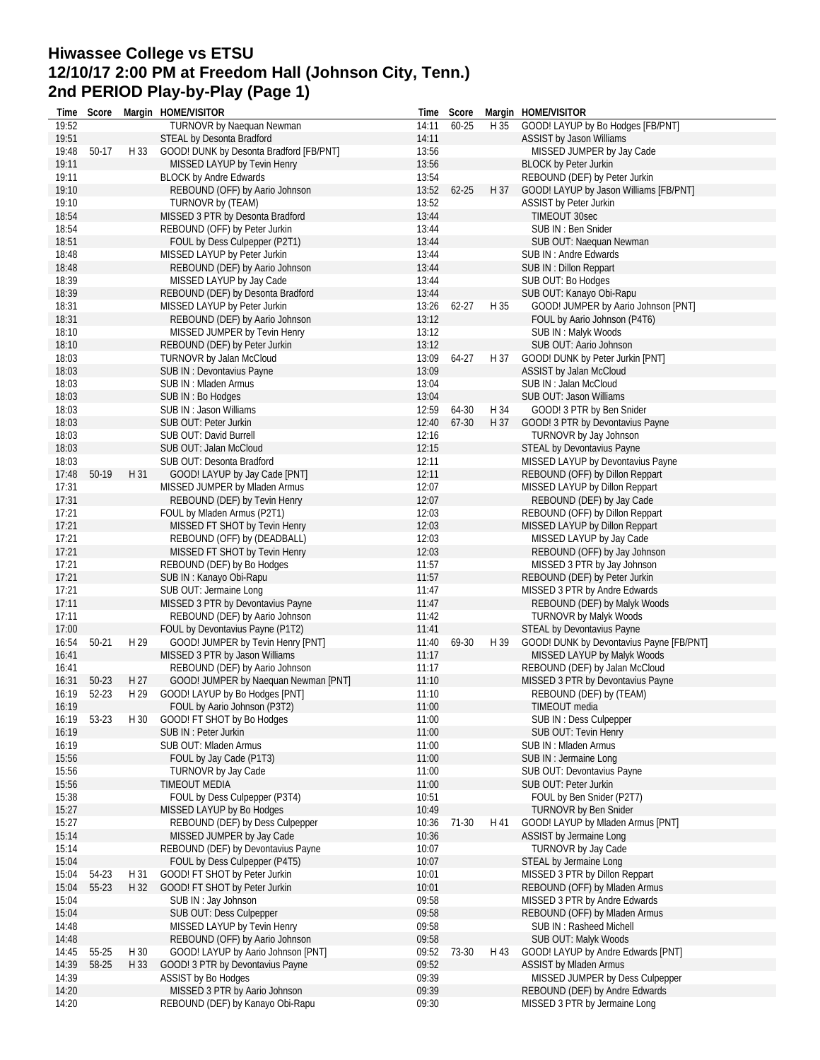# **Hiwassee College vs ETSU 12/10/17 2:00 PM at Freedom Hall (Johnson City, Tenn.) 2nd PERIOD Play-by-Play (Page 1)**

| Time  | Score     |      | Margin HOME/VISITOR                     |       | Time Score |      | Margin HOME/VISITOR                      |
|-------|-----------|------|-----------------------------------------|-------|------------|------|------------------------------------------|
| 19:52 |           |      | <b>TURNOVR by Naequan Newman</b>        | 14:11 | 60-25      | H 35 | GOOD! LAYUP by Bo Hodges [FB/PNT]        |
| 19:51 |           |      | STEAL by Desonta Bradford               | 14:11 |            |      | ASSIST by Jason Williams                 |
| 19:48 | 50-17     | H 33 | GOOD! DUNK by Desonta Bradford [FB/PNT] | 13:56 |            |      | MISSED JUMPER by Jay Cade                |
| 19:11 |           |      | MISSED LAYUP by Tevin Henry             | 13:56 |            |      | <b>BLOCK by Peter Jurkin</b>             |
| 19:11 |           |      | <b>BLOCK by Andre Edwards</b>           | 13:54 |            |      | REBOUND (DEF) by Peter Jurkin            |
| 19:10 |           |      | REBOUND (OFF) by Aario Johnson          | 13:52 | 62-25      | H 37 | GOOD! LAYUP by Jason Williams [FB/PNT]   |
| 19:10 |           |      | TURNOVR by (TEAM)                       | 13:52 |            |      | <b>ASSIST by Peter Jurkin</b>            |
| 18:54 |           |      | MISSED 3 PTR by Desonta Bradford        | 13:44 |            |      | <b>TIMEOUT 30sec</b>                     |
| 18:54 |           |      | REBOUND (OFF) by Peter Jurkin           | 13:44 |            |      | SUB IN: Ben Snider                       |
| 18:51 |           |      | FOUL by Dess Culpepper (P2T1)           | 13:44 |            |      | SUB OUT: Naequan Newman                  |
| 18:48 |           |      | MISSED LAYUP by Peter Jurkin            | 13:44 |            |      | SUB IN : Andre Edwards                   |
| 18:48 |           |      | REBOUND (DEF) by Aario Johnson          | 13:44 |            |      | SUB IN: Dillon Reppart                   |
| 18:39 |           |      | MISSED LAYUP by Jay Cade                | 13:44 |            |      | SUB OUT: Bo Hodges                       |
|       |           |      |                                         |       |            |      |                                          |
| 18:39 |           |      | REBOUND (DEF) by Desonta Bradford       | 13:44 |            |      | SUB OUT: Kanayo Obi-Rapu                 |
| 18:31 |           |      | MISSED LAYUP by Peter Jurkin            | 13:26 | 62-27      | H 35 | GOOD! JUMPER by Aario Johnson [PNT]      |
| 18:31 |           |      | REBOUND (DEF) by Aario Johnson          | 13:12 |            |      | FOUL by Aario Johnson (P4T6)             |
| 18:10 |           |      | MISSED JUMPER by Tevin Henry            | 13:12 |            |      | SUB IN: Malyk Woods                      |
| 18:10 |           |      | REBOUND (DEF) by Peter Jurkin           | 13:12 |            |      | SUB OUT: Aario Johnson                   |
| 18:03 |           |      | TURNOVR by Jalan McCloud                | 13:09 | 64-27      | H 37 | GOOD! DUNK by Peter Jurkin [PNT]         |
| 18:03 |           |      | SUB IN: Devontavius Payne               | 13:09 |            |      | ASSIST by Jalan McCloud                  |
| 18:03 |           |      | SUB IN: Mladen Armus                    | 13:04 |            |      | SUB IN: Jalan McCloud                    |
| 18:03 |           |      | SUB IN: Bo Hodges                       | 13:04 |            |      | SUB OUT: Jason Williams                  |
| 18:03 |           |      | SUB IN: Jason Williams                  | 12:59 | 64-30      | H 34 | GOOD! 3 PTR by Ben Snider                |
| 18:03 |           |      | SUB OUT: Peter Jurkin                   | 12:40 | 67-30      | H 37 | GOOD! 3 PTR by Devontavius Payne         |
| 18:03 |           |      | SUB OUT: David Burrell                  | 12:16 |            |      | TURNOVR by Jay Johnson                   |
| 18:03 |           |      | SUB OUT: Jalan McCloud                  | 12:15 |            |      | STEAL by Devontavius Payne               |
| 18:03 |           |      | SUB OUT: Desonta Bradford               | 12:11 |            |      | MISSED LAYUP by Devontavius Payne        |
| 17:48 | 50-19     | H 31 | GOOD! LAYUP by Jay Cade [PNT]           | 12:11 |            |      | REBOUND (OFF) by Dillon Reppart          |
| 17:31 |           |      | MISSED JUMPER by Mladen Armus           | 12:07 |            |      | MISSED LAYUP by Dillon Reppart           |
| 17:31 |           |      | REBOUND (DEF) by Tevin Henry            | 12:07 |            |      | REBOUND (DEF) by Jay Cade                |
| 17:21 |           |      | FOUL by Mladen Armus (P2T1)             | 12:03 |            |      | REBOUND (OFF) by Dillon Reppart          |
| 17:21 |           |      | MISSED FT SHOT by Tevin Henry           | 12:03 |            |      | MISSED LAYUP by Dillon Reppart           |
| 17:21 |           |      | REBOUND (OFF) by (DEADBALL)             | 12:03 |            |      | MISSED LAYUP by Jay Cade                 |
| 17:21 |           |      | MISSED FT SHOT by Tevin Henry           | 12:03 |            |      | REBOUND (OFF) by Jay Johnson             |
| 17:21 |           |      |                                         | 11:57 |            |      | MISSED 3 PTR by Jay Johnson              |
| 17:21 |           |      | REBOUND (DEF) by Bo Hodges              | 11:57 |            |      |                                          |
|       |           |      | SUB IN: Kanayo Obi-Rapu                 |       |            |      | REBOUND (DEF) by Peter Jurkin            |
| 17:21 |           |      | SUB OUT: Jermaine Long                  | 11:47 |            |      | MISSED 3 PTR by Andre Edwards            |
| 17:11 |           |      | MISSED 3 PTR by Devontavius Payne       | 11:47 |            |      | REBOUND (DEF) by Malyk Woods             |
| 17:11 |           |      | REBOUND (DEF) by Aario Johnson          | 11:42 |            |      | <b>TURNOVR by Malyk Woods</b>            |
| 17:00 |           |      | FOUL by Devontavius Payne (P1T2)        | 11:41 |            |      | STEAL by Devontavius Payne               |
| 16:54 | $50 - 21$ | H 29 | GOOD! JUMPER by Tevin Henry [PNT]       | 11:40 | 69-30      | H 39 | GOOD! DUNK by Devontavius Payne [FB/PNT] |
| 16:41 |           |      | MISSED 3 PTR by Jason Williams          | 11:17 |            |      | MISSED LAYUP by Malyk Woods              |
| 16:41 |           |      | REBOUND (DEF) by Aario Johnson          | 11:17 |            |      | REBOUND (DEF) by Jalan McCloud           |
| 16:31 | 50-23     | H 27 | GOOD! JUMPER by Naequan Newman [PNT]    | 11:10 |            |      | MISSED 3 PTR by Devontavius Payne        |
| 16:19 | $52 - 23$ | H 29 | GOOD! LAYUP by Bo Hodges [PNT]          | 11:10 |            |      | REBOUND (DEF) by (TEAM)                  |
| 16:19 |           |      | FOUL by Aario Johnson (P3T2)            | 11:00 |            |      | TIMEOUT media                            |
| 16:19 | 53-23     | H 30 | GOOD! FT SHOT by Bo Hodges              | 11:00 |            |      | SUB IN: Dess Culpepper                   |
| 16:19 |           |      | SUB IN: Peter Jurkin                    | 11:00 |            |      | SUB OUT: Tevin Henry                     |
| 16:19 |           |      | SUB OUT: Mladen Armus                   | 11:00 |            |      | SUB IN: Mladen Armus                     |
| 15:56 |           |      | FOUL by Jay Cade (P1T3)                 | 11:00 |            |      | SUB IN : Jermaine Long                   |
| 15:56 |           |      | TURNOVR by Jay Cade                     | 11:00 |            |      | SUB OUT: Devontavius Payne               |
| 15:56 |           |      | TIMEOUT MEDIA                           | 11:00 |            |      | SUB OUT: Peter Jurkin                    |
| 15:38 |           |      | FOUL by Dess Culpepper (P3T4)           | 10:51 |            |      | FOUL by Ben Snider (P2T7)                |
| 15:27 |           |      | MISSED LAYUP by Bo Hodges               | 10:49 |            |      | <b>TURNOVR by Ben Snider</b>             |
| 15:27 |           |      | REBOUND (DEF) by Dess Culpepper         | 10:36 | 71-30      | H 41 | GOOD! LAYUP by Mladen Armus [PNT]        |
| 15:14 |           |      | MISSED JUMPER by Jay Cade               | 10:36 |            |      | ASSIST by Jermaine Long                  |
| 15:14 |           |      | REBOUND (DEF) by Devontavius Payne      | 10:07 |            |      | TURNOVR by Jay Cade                      |
| 15:04 |           |      | FOUL by Dess Culpepper (P4T5)           | 10:07 |            |      | STEAL by Jermaine Long                   |
| 15:04 | 54-23     | H 31 | GOOD! FT SHOT by Peter Jurkin           | 10:01 |            |      | MISSED 3 PTR by Dillon Reppart           |
| 15:04 | 55-23     | H 32 | GOOD! FT SHOT by Peter Jurkin           | 10:01 |            |      | REBOUND (OFF) by Mladen Armus            |
| 15:04 |           |      | SUB IN: Jay Johnson                     | 09:58 |            |      | MISSED 3 PTR by Andre Edwards            |
| 15:04 |           |      | SUB OUT: Dess Culpepper                 | 09:58 |            |      | REBOUND (OFF) by Mladen Armus            |
| 14:48 |           |      | MISSED LAYUP by Tevin Henry             | 09:58 |            |      | SUB IN: Rasheed Michell                  |
| 14:48 |           |      | REBOUND (OFF) by Aario Johnson          | 09:58 |            |      | SUB OUT: Malyk Woods                     |
|       |           |      |                                         |       |            |      |                                          |
| 14:45 | 55-25     | H 30 | GOOD! LAYUP by Aario Johnson [PNT]      | 09:52 | 73-30      | H 43 | GOOD! LAYUP by Andre Edwards [PNT]       |
| 14:39 | 58-25     | H 33 | GOOD! 3 PTR by Devontavius Payne        | 09:52 |            |      | ASSIST by Mladen Armus                   |
| 14:39 |           |      | <b>ASSIST by Bo Hodges</b>              | 09:39 |            |      | MISSED JUMPER by Dess Culpepper          |
| 14:20 |           |      | MISSED 3 PTR by Aario Johnson           | 09:39 |            |      | REBOUND (DEF) by Andre Edwards           |
| 14:20 |           |      | REBOUND (DEF) by Kanayo Obi-Rapu        | 09:30 |            |      | MISSED 3 PTR by Jermaine Long            |